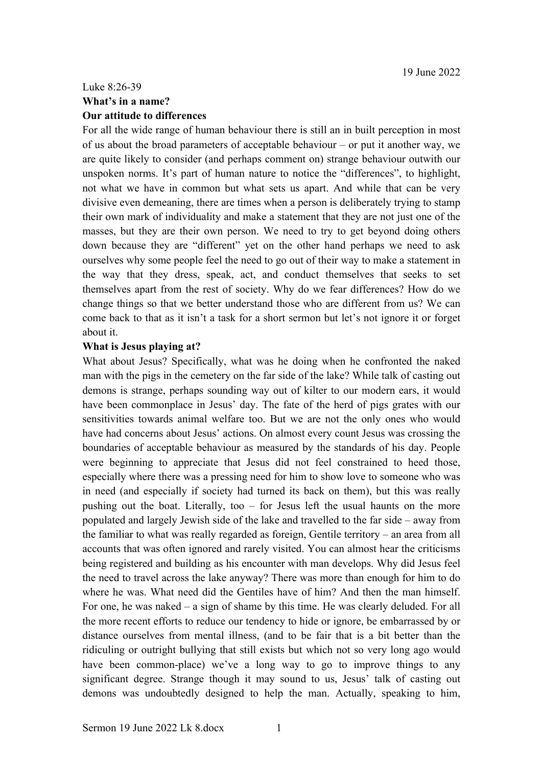## Luke 8:26-39 **What's in a name? Our attitude to differences**

For all the wide range of human behaviour there is still an in built perception in most of us about the broad parameters of acceptable behaviour – or put it another way, we are quite likely to consider (and perhaps comment on) strange behaviour outwith our unspoken norms. It's part of human nature to notice the "differences", to highlight, not what we have in common but what sets us apart. And while that can be very divisive even demeaning, there are times when a person is deliberately trying to stamp their own mark of individuality and make a statement that they are not just one of the masses, but they are their own person. We need to try to get beyond doing others down because they are "different" yet on the other hand perhaps we need to ask ourselves why some people feel the need to go out of their way to make a statement in the way that they dress, speak, act, and conduct themselves that seeks to set themselves apart from the rest of society. Why do we fear differences? How do we change things so that we better understand those who are different from us? We can come back to that as it isn't a task for a short sermon but let's not ignore it or forget about it.

## **What is Jesus playing at?**

What about Jesus? Specifically, what was he doing when he confronted the naked man with the pigs in the cemetery on the far side of the lake? While talk of casting out demons is strange, perhaps sounding way out of kilter to our modern ears, it would have been commonplace in Jesus' day. The fate of the herd of pigs grates with our sensitivities towards animal welfare too. But we are not the only ones who would have had concerns about Jesus' actions. On almost every count Jesus was crossing the boundaries of acceptable behaviour as measured by the standards of his day. People were beginning to appreciate that Jesus did not feel constrained to heed those, especially where there was a pressing need for him to show love to someone who was in need (and especially if society had turned its back on them), but this was really pushing out the boat. Literally, too – for Jesus left the usual haunts on the more populated and largely Jewish side of the lake and travelled to the far side – away from the familiar to what was really regarded as foreign, Gentile territory – an area from all accounts that was often ignored and rarely visited. You can almost hear the criticisms being registered and building as his encounter with man develops. Why did Jesus feel the need to travel across the lake anyway? There was more than enough for him to do where he was. What need did the Gentiles have of him? And then the man himself. For one, he was naked – a sign of shame by this time. He was clearly deluded. For all the more recent efforts to reduce our tendency to hide or ignore, be embarrassed by or distance ourselves from mental illness, (and to be fair that is a bit better than the ridiculing or outright bullying that still exists but which not so very long ago would have been common-place) we've a long way to go to improve things to any significant degree. Strange though it may sound to us, Jesus' talk of casting out demons was undoubtedly designed to help the man. Actually, speaking to him,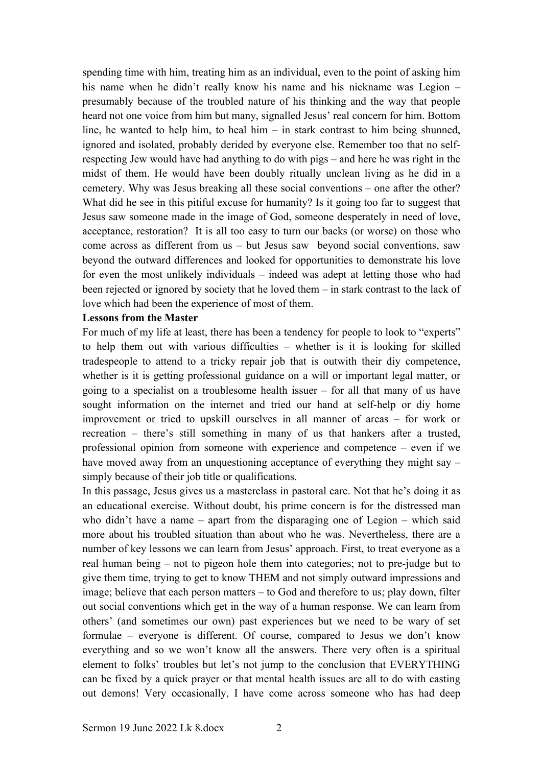spending time with him, treating him as an individual, even to the point of asking him his name when he didn't really know his name and his nickname was Legion – presumably because of the troubled nature of his thinking and the way that people heard not one voice from him but many, signalled Jesus' real concern for him. Bottom line, he wanted to help him, to heal him – in stark contrast to him being shunned, ignored and isolated, probably derided by everyone else. Remember too that no selfrespecting Jew would have had anything to do with pigs – and here he was right in the midst of them. He would have been doubly ritually unclean living as he did in a cemetery. Why was Jesus breaking all these social conventions – one after the other? What did he see in this pitiful excuse for humanity? Is it going too far to suggest that Jesus saw someone made in the image of God, someone desperately in need of love, acceptance, restoration? It is all too easy to turn our backs (or worse) on those who come across as different from us – but Jesus saw beyond social conventions, saw beyond the outward differences and looked for opportunities to demonstrate his love for even the most unlikely individuals – indeed was adept at letting those who had been rejected or ignored by society that he loved them – in stark contrast to the lack of love which had been the experience of most of them.

## **Lessons from the Master**

For much of my life at least, there has been a tendency for people to look to "experts" to help them out with various difficulties – whether is it is looking for skilled tradespeople to attend to a tricky repair job that is outwith their diy competence, whether is it is getting professional guidance on a will or important legal matter, or going to a specialist on a troublesome health issuer – for all that many of us have sought information on the internet and tried our hand at self-help or diy home improvement or tried to upskill ourselves in all manner of areas – for work or recreation – there's still something in many of us that hankers after a trusted, professional opinion from someone with experience and competence – even if we have moved away from an unquestioning acceptance of everything they might say – simply because of their job title or qualifications.

In this passage, Jesus gives us a masterclass in pastoral care. Not that he's doing it as an educational exercise. Without doubt, his prime concern is for the distressed man who didn't have a name – apart from the disparaging one of Legion – which said more about his troubled situation than about who he was. Nevertheless, there are a number of key lessons we can learn from Jesus' approach. First, to treat everyone as a real human being – not to pigeon hole them into categories; not to pre-judge but to give them time, trying to get to know THEM and not simply outward impressions and image; believe that each person matters – to God and therefore to us; play down, filter out social conventions which get in the way of a human response. We can learn from others' (and sometimes our own) past experiences but we need to be wary of set formulae – everyone is different. Of course, compared to Jesus we don't know everything and so we won't know all the answers. There very often is a spiritual element to folks' troubles but let's not jump to the conclusion that EVERYTHING can be fixed by a quick prayer or that mental health issues are all to do with casting out demons! Very occasionally, I have come across someone who has had deep